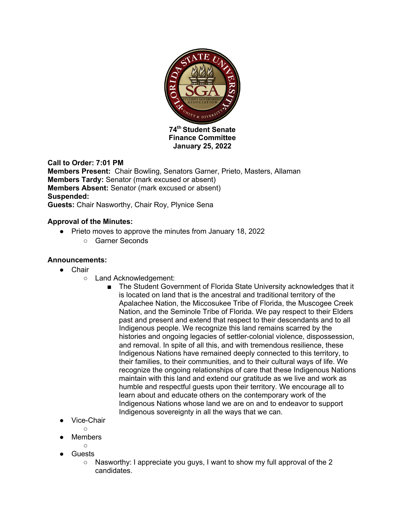

**Finance Committee January 25, 2022**

# **Call to Order: 7:01 PM**

**Members Present:** Chair Bowling, Senators Garner, Prieto, Masters, Allaman **Members Tardy:** Senator (mark excused or absent) **Members Absent:** Senator (mark excused or absent) **Suspended: Guests:** Chair Nasworthy, Chair Roy, Plynice Sena

#### **Approval of the Minutes:**

- Prieto moves to approve the minutes from January 18, 2022
	- Garner Seconds

### **Announcements:**

- Chair
	- Land Acknowledgement:
		- The Student Government of Florida State University acknowledges that it is located on land that is the ancestral and traditional territory of the Apalachee Nation, the Miccosukee Tribe of Florida, the Muscogee Creek Nation, and the Seminole Tribe of Florida. We pay respect to their Elders past and present and extend that respect to their descendants and to all Indigenous people. We recognize this land remains scarred by the histories and ongoing legacies of settler-colonial violence, dispossession, and removal. In spite of all this, and with tremendous resilience, these Indigenous Nations have remained deeply connected to this territory, to their families, to their communities, and to their cultural ways of life. We recognize the ongoing relationships of care that these Indigenous Nations maintain with this land and extend our gratitude as we live and work as humble and respectful guests upon their territory. We encourage all to learn about and educate others on the contemporary work of the Indigenous Nations whose land we are on and to endeavor to support Indigenous sovereignty in all the ways that we can.
- Vice-Chair

 $\bigcap$ 

- **Members**
- $\circ$
- Guests
	- Nasworthy: I appreciate you guys, I want to show my full approval of the 2 candidates.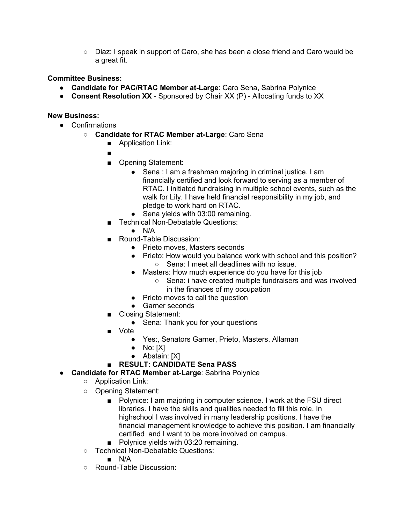○ Diaz: I speak in support of Caro, she has been a close friend and Caro would be a great fit.

# **Committee Business:**

- **Candidate for PAC/RTAC Member at-Large**: Caro Sena, Sabrina Polynice
- **Consent Resolution XX** Sponsored by Chair XX (P) Allocating funds to XX

#### **New Business:**

- Confirmations
	- **Candidate for RTAC Member at-Large**: Caro Sena
		- Application Link:
		- ■
		- Opening Statement:
			- Sena : I am a freshman majoring in criminal justice. I am financially certified and look forward to serving as a member of RTAC. I initiated fundraising in multiple school events, such as the walk for Lily. I have held financial responsibility in my job, and pledge to work hard on RTAC.
			- Sena yields with 03:00 remaining.
		- Technical Non-Debatable Questions:
			- $\bullet$  N/A
		- Round-Table Discussion:
			- Prieto moves, Masters seconds
			- Prieto: How would you balance work with school and this position? ○ Sena: I meet all deadlines with no issue.
			- Masters: How much experience do you have for this job
				- Sena: i have created multiple fundraisers and was involved in the finances of my occupation
			- Prieto moves to call the question
			- Garner seconds
		- Closing Statement:
			- Sena: Thank you for your questions
		- Vote
			- Yes:, Senators Garner, Prieto, Masters, Allaman
			- $\bullet$  No: [X]
			- Abstain: [X]
		- **RESULT: CANDIDATE Sena PASS**
- **Candidate for RTAC Member at-Large**: Sabrina Polynice
	- Application Link:
	- Opening Statement:
		- Polynice: I am majoring in computer science. I work at the FSU direct libraries. I have the skills and qualities needed to fill this role. In highschool I was involved in many leadership positions. I have the financial management knowledge to achieve this position. I am financially certified and I want to be more involved on campus.
		- Polynice yields with 03:20 remaining.
	- Technical Non-Debatable Questions:
		- N/A
	- Round-Table Discussion: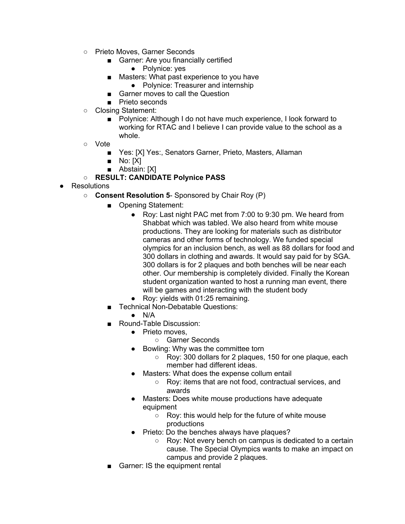- Prieto Moves, Garner Seconds
	- Garner: Are you financially certified
		- Polynice: yes
	- Masters: What past experience to you have
		- Polynice: Treasurer and internship
	- Garner moves to call the Question
	- Prieto seconds
- Closing Statement:
	- Polynice: Although I do not have much experience, I look forward to working for RTAC and I believe I can provide value to the school as a whole.
- Vote
	- Yes: [X] Yes:, Senators Garner, Prieto, Masters, Allaman
	- $\blacksquare$  No:  $[X]$
	- Abstain: [X]
- **RESULT: CANDIDATE Polynice PASS**
- Resolutions
	- **Consent Resolution 5** Sponsored by Chair Roy (P)
		- Opening Statement:
			- Roy: Last night PAC met from 7:00 to 9:30 pm. We heard from Shabbat which was tabled. We also heard from white mouse productions. They are looking for materials such as distributor cameras and other forms of technology. We funded special olympics for an inclusion bench, as well as 88 dollars for food and 300 dollars in clothing and awards. It would say paid for by SGA. 300 dollars is for 2 plaques and both benches will be near each other. Our membership is completely divided. Finally the Korean student organization wanted to host a running man event, there will be games and interacting with the student body
			- Roy: yields with 01:25 remaining.
		- Technical Non-Debatable Questions:
			- $N/A$
		- Round-Table Discussion:
			- Prieto moves.
				- Garner Seconds
			- Bowling: Why was the committee torn
				- Roy: 300 dollars for 2 plaques, 150 for one plaque, each member had different ideas.
			- Masters: What does the expense collum entail
				- Roy: items that are not food, contractual services, and awards
			- Masters: Does white mouse productions have adequate equipment
				- Roy: this would help for the future of white mouse productions
			- Prieto: Do the benches always have plaques?
				- Roy: Not every bench on campus is dedicated to a certain cause. The Special Olympics wants to make an impact on campus and provide 2 plaques.
		- Garner: IS the equipment rental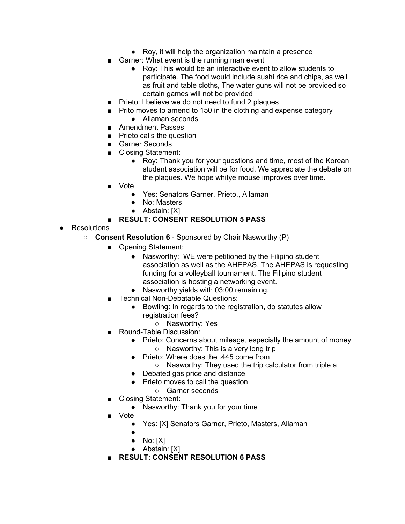- Roy, it will help the organization maintain a presence
- Garner: What event is the running man event
	- Roy: This would be an interactive event to allow students to participate. The food would include sushi rice and chips, as well as fruit and table cloths, The water guns will not be provided so certain games will not be provided
- Prieto: I believe we do not need to fund 2 plaques
- Prito moves to amend to 150 in the clothing and expense category ● Allaman seconds
- Amendment Passes
- Prieto calls the question
- Garner Seconds
- Closing Statement:
	- Roy: Thank you for your questions and time, most of the Korean student association will be for food. We appreciate the debate on the plaques. We hope whitye mouse improves over time.
- Vote
	- Yes: Senators Garner, Prieto,, Allaman
	- No: Masters
	- Abstain: [X]

# ■ **RESULT: CONSENT RESOLUTION 5 PASS**

- Resolutions
	- **Consent Resolution 6** Sponsored by Chair Nasworthy (P)
		- Opening Statement:
			- Nasworthy: WE were petitioned by the Filipino student association as well as the AHEPAS. The AHEPAS is requesting funding for a volleyball tournament. The Filipino student association is hosting a networking event.
			- Nasworthy yields with 03:00 remaining.
		- Technical Non-Debatable Questions:
			- Bowling: In regards to the registration, do statutes allow registration fees?
				- Nasworthy: Yes
		- Round-Table Discussion:
			- Prieto: Concerns about mileage, especially the amount of money ○ Nasworthy: This is a very long trip
			- Prieto: Where does the .445 come from
				- Nasworthy: They used the trip calculator from triple a
			- Debated gas price and distance
			- Prieto moves to call the question
				- Garner seconds
		- Closing Statement:
			- Nasworthy: Thank you for your time
		- Vote
			- Yes: [X] Senators Garner, Prieto, Masters, Allaman
			- ●
			- $\bullet$  No: [X]
			- Abstain: [X]
		- **RESULT: CONSENT RESOLUTION 6 PASS**